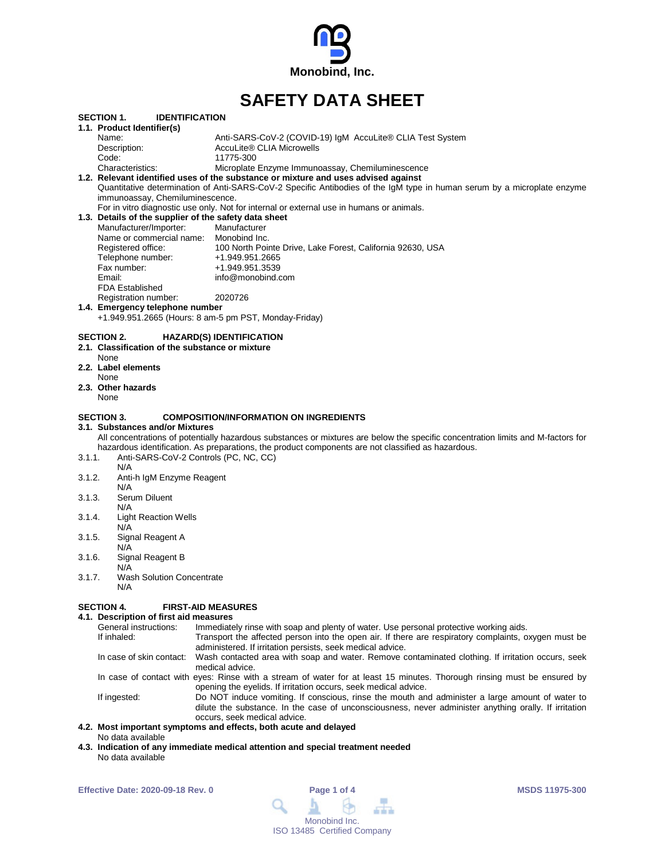

# **SAFETY DATA SHEET**

|        | <b>SECTION 1.</b><br><b>IDENTIFICATION</b>                        |                                                                                                                                  |
|--------|-------------------------------------------------------------------|----------------------------------------------------------------------------------------------------------------------------------|
|        | 1.1. Product Identifier(s)                                        |                                                                                                                                  |
|        | Name:                                                             | Anti-SARS-CoV-2 (COVID-19) IgM AccuLite® CLIA Test System                                                                        |
|        | Description:                                                      | AccuLite® CLIA Microwells                                                                                                        |
|        | Code:                                                             | 11775-300                                                                                                                        |
|        | Characteristics:                                                  | Microplate Enzyme Immunoassay, Chemiluminescence                                                                                 |
|        |                                                                   | 1.2. Relevant identified uses of the substance or mixture and uses advised against                                               |
|        |                                                                   | Quantitative determination of Anti-SARS-CoV-2 Specific Antibodies of the IgM type in human serum by a microplate enzyme          |
|        | immunoassay, Chemiluminescence.                                   |                                                                                                                                  |
|        |                                                                   | For in vitro diagnostic use only. Not for internal or external use in humans or animals.                                         |
|        | 1.3. Details of the supplier of the safety data sheet             |                                                                                                                                  |
|        |                                                                   |                                                                                                                                  |
|        | Manufacturer/Importer:                                            | Manufacturer                                                                                                                     |
|        | Name or commercial name: Monobind Inc.                            |                                                                                                                                  |
|        | Registered office:                                                | 100 North Pointe Drive, Lake Forest, California 92630, USA                                                                       |
|        | Telephone number:                                                 | +1.949.951.2665                                                                                                                  |
|        | Fax number:                                                       | +1.949.951.3539                                                                                                                  |
|        | Email:                                                            | info@monobind.com                                                                                                                |
|        | <b>FDA Established</b>                                            |                                                                                                                                  |
|        | Registration number:                                              | 2020726                                                                                                                          |
|        | 1.4. Emergency telephone number                                   |                                                                                                                                  |
|        | +1.949.951.2665 (Hours: 8 am-5 pm PST, Monday-Friday)             |                                                                                                                                  |
|        | None<br>2.2. Label elements<br>None<br>2.3. Other hazards<br>None |                                                                                                                                  |
|        | <b>SECTION 3.</b>                                                 | <b>COMPOSITION/INFORMATION ON INGREDIENTS</b>                                                                                    |
|        | 3.1. Substances and/or Mixtures                                   |                                                                                                                                  |
|        |                                                                   | All concentrations of potentially hazardous substances or mixtures are below the specific concentration limits and M-factors for |
|        |                                                                   | hazardous identification. As preparations, the product components are not classified as hazardous.                               |
| 3.1.1. | Anti-SARS-CoV-2 Controls (PC, NC, CC)                             |                                                                                                                                  |
|        | N/A                                                               |                                                                                                                                  |
| 3.1.2. | Anti-h IgM Enzyme Reagent                                         |                                                                                                                                  |
|        | N/A                                                               |                                                                                                                                  |
| 3.1.3. | Serum Diluent                                                     |                                                                                                                                  |
|        | N/A                                                               |                                                                                                                                  |
| 3.1.4. | <b>Light Reaction Wells</b>                                       |                                                                                                                                  |
|        | N/A                                                               |                                                                                                                                  |
| 3.1.5. | Signal Reagent A                                                  |                                                                                                                                  |
|        | N/A                                                               |                                                                                                                                  |
| 3.1.6. | Signal Reagent B                                                  |                                                                                                                                  |
|        | N/A                                                               |                                                                                                                                  |
| 3.1.7. | <b>Wash Solution Concentrate</b>                                  |                                                                                                                                  |
|        | N/A                                                               |                                                                                                                                  |

### **SECTION 4. FIRST-AID MEASURES**

### **4.1. Description of first aid measures**

| r.   Description or met ald measures |                                                                                                                                                                                                                                          |  |  |
|--------------------------------------|------------------------------------------------------------------------------------------------------------------------------------------------------------------------------------------------------------------------------------------|--|--|
| General instructions:                | Immediately rinse with soap and plenty of water. Use personal protective working aids.                                                                                                                                                   |  |  |
| If inhaled:                          | Transport the affected person into the open air. If there are respiratory complaints, oxygen must be<br>administered. If irritation persists, seek medical advice.                                                                       |  |  |
| In case of skin contact:             | Wash contacted area with soap and water. Remove contaminated clothing. If irritation occurs, seek<br>medical advice.                                                                                                                     |  |  |
|                                      | In case of contact with eyes: Rinse with a stream of water for at least 15 minutes. Thorough rinsing must be ensured by<br>opening the eyelids. If irritation occurs, seek medical advice.                                               |  |  |
| If ingested:                         | Do NOT induce vomiting. If conscious, rinse the mouth and administer a large amount of water to<br>dilute the substance. In the case of unconsciousness, never administer anything orally. If irritation<br>occurs, seek medical advice. |  |  |
|                                      |                                                                                                                                                                                                                                          |  |  |

### **4.2. Most important symptoms and effects, both acute and delayed** No data available

**4.3. Indication of any immediate medical attention and special treatment needed** No data available

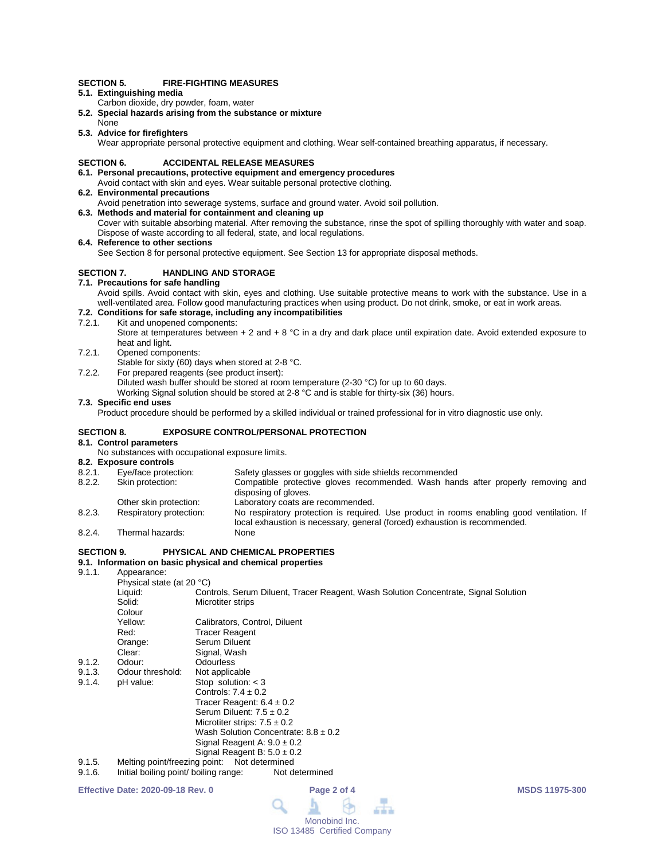### **SECTION 5. FIRE-FIGHTING MEASURES**

- **5.1. Extinguishing media**
- Carbon dioxide, dry powder, foam, water
- **5.2. Special hazards arising from the substance or mixture**
- None **5.3. Advice for firefighters**

Wear appropriate personal protective equipment and clothing. Wear self-contained breathing apparatus, if necessary.

### **SECTION 6. ACCIDENTAL RELEASE MEASURES**

### **6.1. Personal precautions, protective equipment and emergency procedures**

- Avoid contact with skin and eyes. Wear suitable personal protective clothing.
- **6.2. Environmental precautions**
	- Avoid penetration into sewerage systems, surface and ground water. Avoid soil pollution.
- **6.3. Methods and material for containment and cleaning up** Cover with suitable absorbing material. After removing the substance, rinse the spot of spilling thoroughly with water and soap. Dispose of waste according to all federal, state, and local regulations.
- **6.4. Reference to other sections**

See Section 8 for personal protective equipment. See Section 13 for appropriate disposal methods.

### **SECTION 7. HANDLING AND STORAGE**

### **7.1. Precautions for safe handling**

Avoid spills. Avoid contact with skin, eyes and clothing. Use suitable protective means to work with the substance. Use in a well-ventilated area. Follow good manufacturing practices when using product. Do not drink, smoke, or eat in work areas.

## **7.2. Conditions for safe storage, including any incompatibilities**

7.2.1. Kit and unopened components:

Store at temperatures between  $+ 2$  and  $+ 8$  °C in a dry and dark place until expiration date. Avoid extended exposure to heat and light.

- 7.2.1. Opened components:
- Stable for sixty (60) days when stored at 2-8 °C.
- 7.2.2. For prepared reagents (see product insert):

Diluted wash buffer should be stored at room temperature (2-30 °C) for up to 60 days.

Working Signal solution should be stored at 2-8 °C and is stable for thirty-six (36) hours.

### **7.3. Specific end uses**

Product procedure should be performed by a skilled individual or trained professional for in vitro diagnostic use only.

### **SECTION 8. EXPOSURE CONTROL/PERSONAL PROTECTION**

### **8.1. Control parameters**

No substances with occupational exposure limits.

- **8.2. Exposure controls** 8.2.1. Eye/face protection: Safety glasses or goggles with side shields recommended<br>8.2.2. Skin protection: Compatible protective gloves recommended. Wash han Compatible protective gloves recommended. Wash hands after properly removing and disposing of gloves. Other skin protection: Laboratory coats are recommended.<br>
Respiratory protection: No respiratory protection is required 8.2.3. Respiratory protection: No respiratory protection is required. Use product in rooms enabling good ventilation. If local exhaustion is necessary, general (forced) exhaustion is recommended.
- 8.2.4. Thermal hazards: None

### **SECTION 9. PHYSICAL AND CHEMICAL PROPERTIES**

# **9.1. Information on basic physical and chemical properties**

Annearance:

|        | 1.1                           |                                                                                                                                                                                                                                                                                                                                                 |
|--------|-------------------------------|-------------------------------------------------------------------------------------------------------------------------------------------------------------------------------------------------------------------------------------------------------------------------------------------------------------------------------------------------|
|        | Physical state (at 20 °C)     |                                                                                                                                                                                                                                                                                                                                                 |
|        | Liquid:                       | Controls, Serum Diluent, Tracer Reagent, Wash Solution Concentrate, Signal Solution                                                                                                                                                                                                                                                             |
|        | Solid:                        | Microtiter strips                                                                                                                                                                                                                                                                                                                               |
|        | Colour                        |                                                                                                                                                                                                                                                                                                                                                 |
|        | Yellow:                       | Calibrators, Control, Diluent                                                                                                                                                                                                                                                                                                                   |
|        | Red:                          | Tracer Reagent                                                                                                                                                                                                                                                                                                                                  |
|        | Orange:                       | Serum Diluent                                                                                                                                                                                                                                                                                                                                   |
|        | Clear:                        | Signal, Wash                                                                                                                                                                                                                                                                                                                                    |
| 9.1.2. | Odour:                        | <b>Odourless</b>                                                                                                                                                                                                                                                                                                                                |
| 9.1.3. | Odour threshold:              | Not applicable                                                                                                                                                                                                                                                                                                                                  |
| 9.1.4. | pH value:                     | Stop solution: $<$ 3                                                                                                                                                                                                                                                                                                                            |
|        |                               | Controls: $7.4 \pm 0.2$                                                                                                                                                                                                                                                                                                                         |
|        |                               | Tracer Reagent: $6.4 \pm 0.2$                                                                                                                                                                                                                                                                                                                   |
|        |                               | Serum Diluent: $7.5 \pm 0.2$                                                                                                                                                                                                                                                                                                                    |
|        |                               | Microtiter strips: $7.5 \pm 0.2$                                                                                                                                                                                                                                                                                                                |
|        |                               | Wash Solution Concentrate: $8.8 \pm 0.2$                                                                                                                                                                                                                                                                                                        |
|        |                               | Signal Reagent A: $9.0 \pm 0.2$                                                                                                                                                                                                                                                                                                                 |
|        |                               | Signal Reagent B: $5.0 \pm 0.2$                                                                                                                                                                                                                                                                                                                 |
| 9.1.5. | Melting point/freezing point: | Not determined                                                                                                                                                                                                                                                                                                                                  |
| .      |                               | the Month to a Microsoft of the College of the company of the College of the College of the College of the Col<br>Alexander and the second second the second second the second second second second second second second second second second second second second second second second second second second second second second second second |

9.1.6. Initial boiling point/ boiling range: Not determined

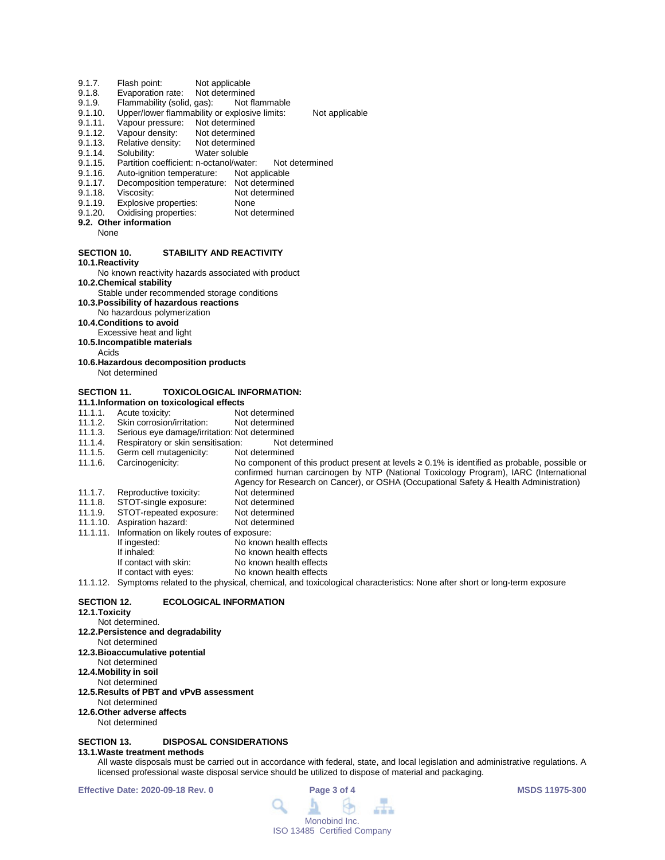- 9.1.7. Flash point: Not applicable<br>9.1.8. Evaporation rate: Not determined
- 9.1.8. Evaporation rate: Not determined<br>9.1.9. Flammability (solid, gas): Not flammable
- 9.1.9. Flammability (solid, gas):<br>9.1.10. Upper/lower flammability
- 9.1.10. Upper/lower flammability or explosive limits: Not applicable<br>9.1.11. Vapour pressure: Not determined
- 9.1.11. Vapour pressure: Not determined<br>9.1.12. Vapour density: Not determined
- 9.1.12. Vapour density: Not determined<br>9.1.13. Relative density: Not determined
- 9.1.13. Relative density:<br>9.1.14. Solubility:
- 9.1.14. Solubility: Water soluble<br>9.1.15. Partition coefficient: n-octanol/wate
- 9.1.15. Partition coefficient: n-octanol/water: Not determined<br>9.1.16. Auto-ignition temperature: Not applicable
- Auto-ignition temperature:
- 9.1.17. Decomposition temperature: Not determined<br>9.1.18. Viscosity: Not determined
- 9.1.18. Viscosity: Not determined<br>9.1.19. Explosive properties: None
- 9.1.19. Explosive properties: None<br>9.1.20. Oxidising properties: Not determined Oxidising properties:
- **9.2. Other information**
	- None

### **SECTION 10. STABILITY AND REACTIVITY**

**10.1.Reactivity**

No known reactivity hazards associated with product **10.2.Chemical stability**

- Stable under recommended storage conditions
- **10.3.Possibility of hazardous reactions**
- No hazardous polymerization

### **10.4.Conditions to avoid**

- Excessive heat and light
- **10.5.Incompatible materials**
	- Acids
- **10.6.Hazardous decomposition products** Not determined

### **SECTION 11. TOXICOLOGICAL INFORMATION:**

- **11.1.Information on toxicological effects**
- 11.1.1. Acute toxicity: Not determined<br>11.1.2. Skin corrosion/irritation: Not determined
- 11.1.2. Skin corrosion/irritation:<br>11.1.3. Serious eve damage/irrit
- 11.1.3. Serious eye damage/irritation: Not determined
- 11.1.4. Respiratory or skin sensitisation: Not do 11.1.5. Germ cell mutagenicity: Not determined
- 11.1.5. Germ cell mutagenicity:<br>11.1.6. Carcinogenicity:
- No component of this product present at levels ≥ 0.1% is identified as probable, possible or confirmed human carcinogen by NTP (National Toxicology Program), IARC (International
- Agency for Research on Cancer), or OSHA (Occupational Safety & Health Administration)
- 11.1.7. Reproductive toxicity: Not determined<br>11.1.8. STOT-single exposure: Not determined
- 11.1.8. STOT-single exposure: Not determined<br>11.1.9. STOT-repeated exposure: Not determined
- STOT-repeated exposure: Not determined<br>Aspiration hazard: Not determined 11.1.10. Aspiration hazard:
- 11.1.11. Information on likely routes of exposure: If ingested: No known health effects<br>
If inhaled: No known health effects
- If inhaled: No known health effects<br>If contact with skin: No known health effects
- If contact with skin: No known health effects<br>If contact with eyes: No known health effects
	- No known health effects

11.1.12. Symptoms related to the physical, chemical, and toxicological characteristics: None after short or long-term exposure

### **SECTION 12. ECOLOGICAL INFORMATION**

**12.1.Toxicity**

## Not determined.

- **12.2.Persistence and degradability**
- Not determined
- **12.3.Bioaccumulative potential**
- Not determined
- **12.4.Mobility in soil**
- Not determined
- **12.5.Results of PBT and vPvB assessment**
- Not determined
- **12.6.Other adverse affects**
	- Not determined

### **SECTION 13. DISPOSAL CONSIDERATIONS**

### **13.1.Waste treatment methods**

All waste disposals must be carried out in accordance with federal, state, and local legislation and administrative regulations. A licensed professional waste disposal service should be utilized to dispose of material and packaging.